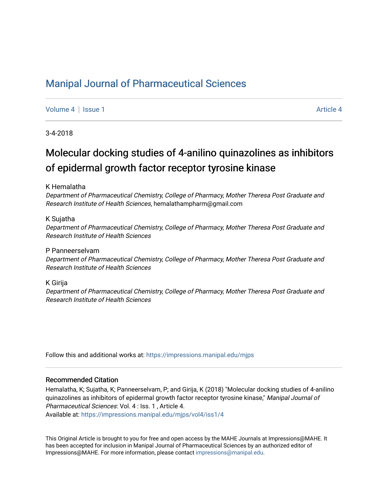### [Manipal Journal of Pharmaceutical Sciences](https://impressions.manipal.edu/mjps)

[Volume 4](https://impressions.manipal.edu/mjps/vol4) | [Issue 1](https://impressions.manipal.edu/mjps/vol4/iss1) [Article 4](https://impressions.manipal.edu/mjps/vol4/iss1/4) | Article 4 Article 4 | Article 4 Article 4 | Article 4 Article 4 | Article 4 | Article 4 | Article 4 | Article 4 | Article 4 | Article 4 | Article 4 | Article 4 | Article 4 | Article 4 | Artic

3-4-2018

# Molecular docking studies of 4-anilino quinazolines as inhibitors of epidermal growth factor receptor tyrosine kinase

K Hemalatha

Department of Pharmaceutical Chemistry, College of Pharmacy, Mother Theresa Post Graduate and Research Institute of Health Sciences, hemalathampharm@gmail.com

K Sujatha

Department of Pharmaceutical Chemistry, College of Pharmacy, Mother Theresa Post Graduate and Research Institute of Health Sciences

P Panneerselvam

Department of Pharmaceutical Chemistry, College of Pharmacy, Mother Theresa Post Graduate and Research Institute of Health Sciences

K Girija

Department of Pharmaceutical Chemistry, College of Pharmacy, Mother Theresa Post Graduate and Research Institute of Health Sciences

Follow this and additional works at: [https://impressions.manipal.edu/mjps](https://impressions.manipal.edu/mjps?utm_source=impressions.manipal.edu%2Fmjps%2Fvol4%2Fiss1%2F4&utm_medium=PDF&utm_campaign=PDFCoverPages)

#### Recommended Citation

Hemalatha, K; Sujatha, K; Panneerselvam, P; and Girija, K (2018) "Molecular docking studies of 4-anilino quinazolines as inhibitors of epidermal growth factor receptor tyrosine kinase," Manipal Journal of Pharmaceutical Sciences: Vol. 4 : Iss. 1 , Article 4.

Available at: [https://impressions.manipal.edu/mjps/vol4/iss1/4](https://impressions.manipal.edu/mjps/vol4/iss1/4?utm_source=impressions.manipal.edu%2Fmjps%2Fvol4%2Fiss1%2F4&utm_medium=PDF&utm_campaign=PDFCoverPages)

This Original Article is brought to you for free and open access by the MAHE Journals at Impressions@MAHE. It has been accepted for inclusion in Manipal Journal of Pharmaceutical Sciences by an authorized editor of Impressions@MAHE. For more information, please contact [impressions@manipal.edu](mailto:impressions@manipal.edu).